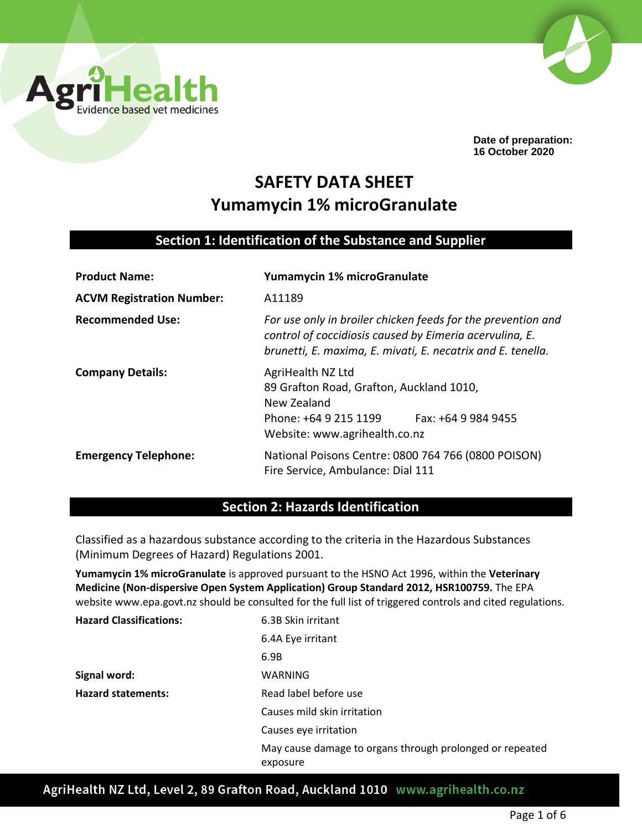



**Date of preparation: 16 October 2020**

# **SAFETY DATA SHEET Yumamycin 1% microGranulate**

## **Section 1: Identification of the Substance and Supplier**

| <b>Product Name:</b>             | Yumamycin 1% microGranulate                                                                                                                                                            |
|----------------------------------|----------------------------------------------------------------------------------------------------------------------------------------------------------------------------------------|
| <b>ACVM Registration Number:</b> | A11189                                                                                                                                                                                 |
| <b>Recommended Use:</b>          | For use only in broiler chicken feeds for the prevention and<br>control of coccidiosis caused by Eimeria acervulina, E.<br>brunetti, E. maxima, E. mivati, E. necatrix and E. tenella. |
| <b>Company Details:</b>          | AgriHealth NZ Ltd<br>89 Grafton Road, Grafton, Auckland 1010,<br>New Zealand<br>Fax: +64 9 984 9455<br>Phone: +64 9 215 1199<br>Website: www.agrihealth.co.nz                          |
| <b>Emergency Telephone:</b>      | National Poisons Centre: 0800 764 766 (0800 POISON)<br>Fire Service, Ambulance: Dial 111                                                                                               |

## **Section 2: Hazards Identification**

Classified as a hazardous substance according to the criteria in the Hazardous Substances (Minimum Degrees of Hazard) Regulations 2001.

**Yumamycin 1% microGranulate** is approved pursuant to the HSNO Act 1996, within the **Veterinary Medicine (Non-dispersive Open System Application) Group Standard 2012, HSR100759.** The EPA website www.epa.govt.nz should be consulted for the full list of triggered controls and cited regulations.

| <b>Hazard Classifications:</b> | 6.3B Skin irritant                                                   |
|--------------------------------|----------------------------------------------------------------------|
|                                | 6.4A Eye irritant                                                    |
|                                | 6.9B                                                                 |
| Signal word:                   | WARNING                                                              |
| <b>Hazard statements:</b>      | Read label before use                                                |
|                                | Causes mild skin irritation                                          |
|                                | Causes eye irritation                                                |
|                                | May cause damage to organs through prolonged or repeated<br>exposure |

AgriHealth NZ Ltd, Level 2, 89 Grafton Road, Auckland 1010 www.agrihealth.co.nz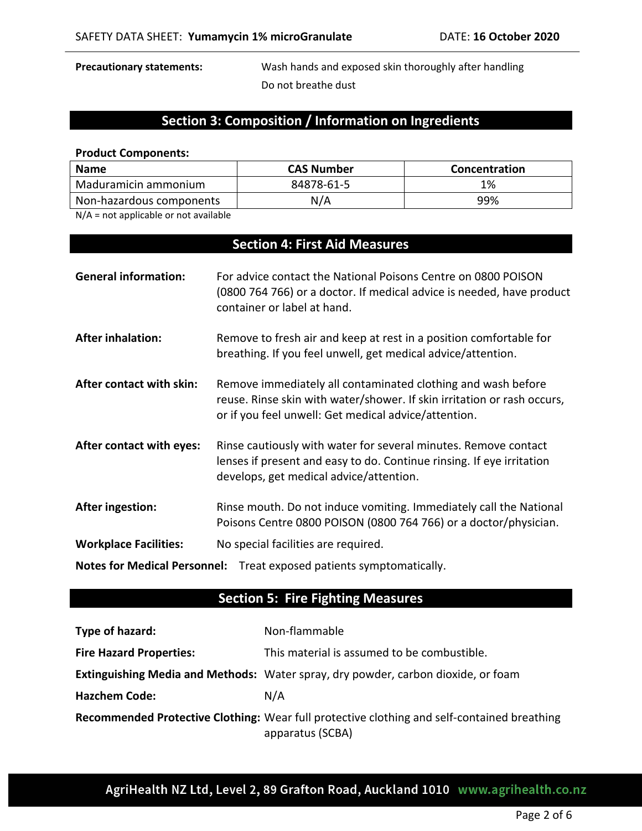**Precautionary statements:** Wash hands and exposed skin thoroughly after handling Do not breathe dust

# **Section 3: Composition / Information on Ingredients**

#### **Product Components:**

| <b>Name</b>              | <b>CAS Number</b> | Concentration |
|--------------------------|-------------------|---------------|
| Maduramicin ammonium     | 84878-61-5        | 1%            |
| Non-hazardous components | N/A               | 99%           |

N/A = not applicable or not available

# **Section 4: First Aid Measures**

| <b>General information:</b>  | For advice contact the National Poisons Centre on 0800 POISON<br>(0800 764 766) or a doctor. If medical advice is needed, have product<br>container or label at hand.                           |
|------------------------------|-------------------------------------------------------------------------------------------------------------------------------------------------------------------------------------------------|
| <b>After inhalation:</b>     | Remove to fresh air and keep at rest in a position comfortable for<br>breathing. If you feel unwell, get medical advice/attention.                                                              |
| After contact with skin:     | Remove immediately all contaminated clothing and wash before<br>reuse. Rinse skin with water/shower. If skin irritation or rash occurs,<br>or if you feel unwell: Get medical advice/attention. |
| After contact with eyes:     | Rinse cautiously with water for several minutes. Remove contact<br>lenses if present and easy to do. Continue rinsing. If eye irritation<br>develops, get medical advice/attention.             |
| After ingestion:             | Rinse mouth. Do not induce vomiting. Immediately call the National<br>Poisons Centre 0800 POISON (0800 764 766) or a doctor/physician.                                                          |
| <b>Workplace Facilities:</b> | No special facilities are required.                                                                                                                                                             |
|                              | Notes for Medical Personnel: Treat exposed patients symptomatically.                                                                                                                            |

# **Section 5: Fire Fighting Measures**

| Type of hazard:                | Non-flammable                                                                                                   |
|--------------------------------|-----------------------------------------------------------------------------------------------------------------|
| <b>Fire Hazard Properties:</b> | This material is assumed to be combustible.                                                                     |
|                                | <b>Extinguishing Media and Methods:</b> Water spray, dry powder, carbon dioxide, or foam                        |
| <b>Hazchem Code:</b>           | N/A                                                                                                             |
|                                | Recommended Protective Clothing: Wear full protective clothing and self-contained breathing<br>apparatus (SCBA) |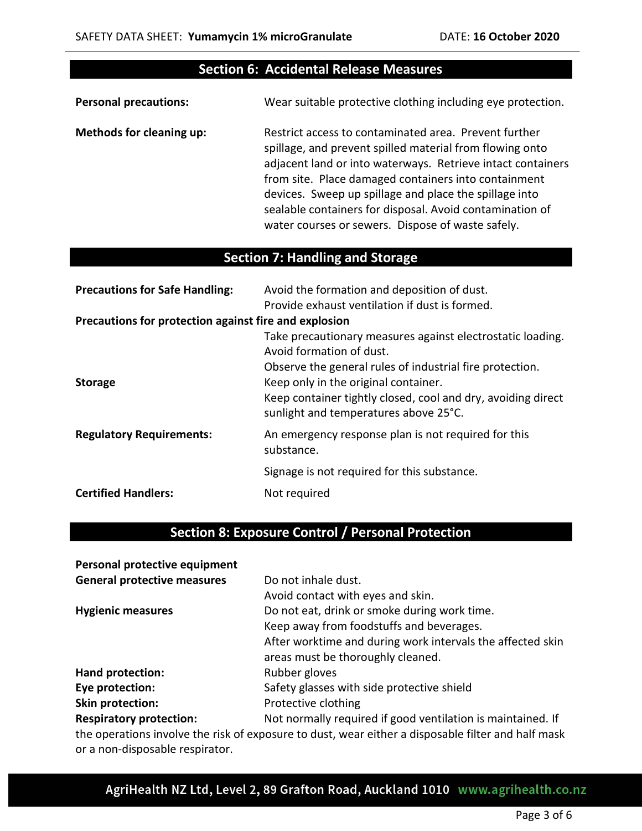## **Section 6: Accidental Release Measures**

**Personal precautions:** Wear suitable protective clothing including eye protection.

**Methods for cleaning up:** Restrict access to contaminated area. Prevent further spillage, and prevent spilled material from flowing onto adjacent land or into waterways. Retrieve intact containers from site. Place damaged containers into containment devices. Sweep up spillage and place the spillage into sealable containers for disposal. Avoid contamination of water courses or sewers. Dispose of waste safely.

## **Section 7: Handling and Storage**

| <b>Precautions for Safe Handling:</b>                 | Avoid the formation and deposition of dust.                                                                                                                                                                                                                                                         |
|-------------------------------------------------------|-----------------------------------------------------------------------------------------------------------------------------------------------------------------------------------------------------------------------------------------------------------------------------------------------------|
|                                                       | Provide exhaust ventilation if dust is formed.                                                                                                                                                                                                                                                      |
| Precautions for protection against fire and explosion |                                                                                                                                                                                                                                                                                                     |
| <b>Storage</b>                                        | Take precautionary measures against electrostatic loading.<br>Avoid formation of dust.<br>Observe the general rules of industrial fire protection.<br>Keep only in the original container.<br>Keep container tightly closed, cool and dry, avoiding direct<br>sunlight and temperatures above 25°C. |
| <b>Regulatory Requirements:</b>                       | An emergency response plan is not required for this<br>substance.                                                                                                                                                                                                                                   |
|                                                       |                                                                                                                                                                                                                                                                                                     |
|                                                       | Signage is not required for this substance.                                                                                                                                                                                                                                                         |
| <b>Certified Handlers:</b>                            | Not required                                                                                                                                                                                                                                                                                        |

## **Section 8: Exposure Control / Personal Protection**

| Personal protective equipment      |                                                             |
|------------------------------------|-------------------------------------------------------------|
| <b>General protective measures</b> | Do not inhale dust.                                         |
|                                    | Avoid contact with eyes and skin.                           |
| <b>Hygienic measures</b>           | Do not eat, drink or smoke during work time.                |
|                                    | Keep away from foodstuffs and beverages.                    |
|                                    | After worktime and during work intervals the affected skin  |
|                                    | areas must be thoroughly cleaned.                           |
| Hand protection:                   | Rubber gloves                                               |
| Eye protection:                    | Safety glasses with side protective shield                  |
| Skin protection:                   | Protective clothing                                         |
| <b>Respiratory protection:</b>     | Not normally required if good ventilation is maintained. If |

the operations involve the risk of exposure to dust, wear either a disposable filter and half mask or a non-disposable respirator.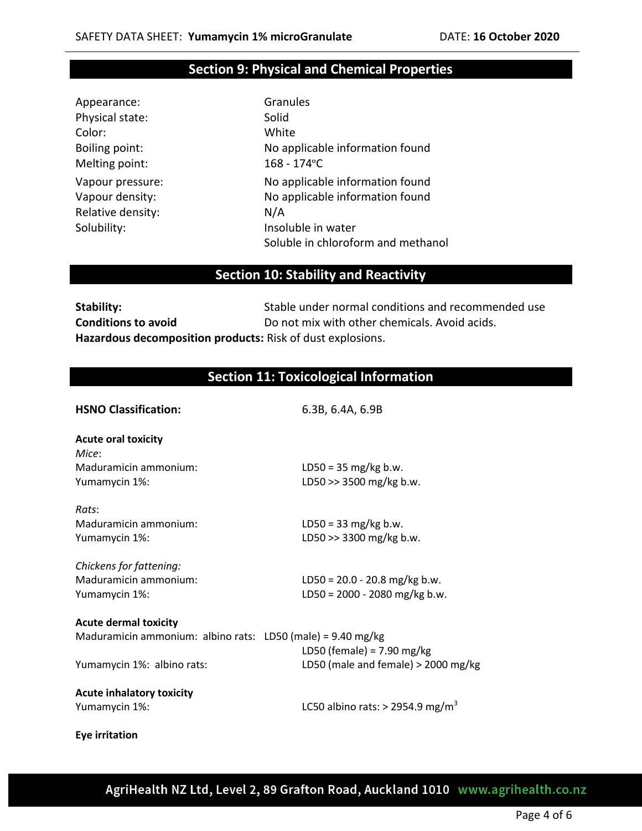## **Section 9: Physical and Chemical Properties**

| Appearance:       | Gran    |
|-------------------|---------|
| Physical state:   | Solid   |
| Color:            | Whit    |
| Boiling point:    | No a    |
| Melting point:    | $168 -$ |
| Vapour pressure:  | No a    |
| Vapour density:   | No a    |
| Relative density: | N/A     |
| Solubility:       | Insol   |
|                   |         |

**Granules** White No applicable information found 168 - 174 ° C No applicable information found No applicable information found Insoluble in water Soluble in chloroform and methanol

## **Section 10: Stability and Reactivity**

**Stability:** Stable under normal conditions and recommended use **Conditions to avoid** Do not mix with other chemicals. Avoid acids. **Hazardous decomposition products:** Risk of dust explosions.

## **Section 11: Toxicological Information**

| <b>HSNO Classification:</b>                                           | 6.3B, 6.4A, 6.9B                               |
|-----------------------------------------------------------------------|------------------------------------------------|
| <b>Acute oral toxicity</b><br>Mice:                                   |                                                |
| Maduramicin ammonium:                                                 | $LD50 = 35 mg/kg b.w.$                         |
| Yumamycin 1%:                                                         | LD50 >> 3500 mg/kg b.w.                        |
| Rats:                                                                 |                                                |
| Maduramicin ammonium:                                                 | $LD50 = 33 mg/kg b.w.$                         |
| Yumamycin 1%:                                                         | LD50 >> 3300 mg/kg b.w.                        |
| Chickens for fattening:                                               |                                                |
| Maduramicin ammonium:                                                 | LD50 = $20.0 - 20.8$ mg/kg b.w.                |
| Yumamycin 1%:                                                         | LD50 = 2000 - 2080 mg/kg b.w.                  |
| <b>Acute dermal toxicity</b>                                          |                                                |
| Maduramicin ammonium: albino rats: LD50 (male) = $9.40 \text{ mg/kg}$ | LD50 (female) = $7.90$ mg/kg                   |
| Yumamycin 1%: albino rats:                                            | LD50 (male and female) $>$ 2000 mg/kg          |
| <b>Acute inhalatory toxicity</b>                                      |                                                |
| Yumamycin 1%:                                                         | LC50 albino rats: $>$ 2954.9 mg/m <sup>3</sup> |
| <b>Eye irritation</b>                                                 |                                                |

AgriHealth NZ Ltd, Level 2, 89 Grafton Road, Auckland 1010 www.agrihealth.co.nz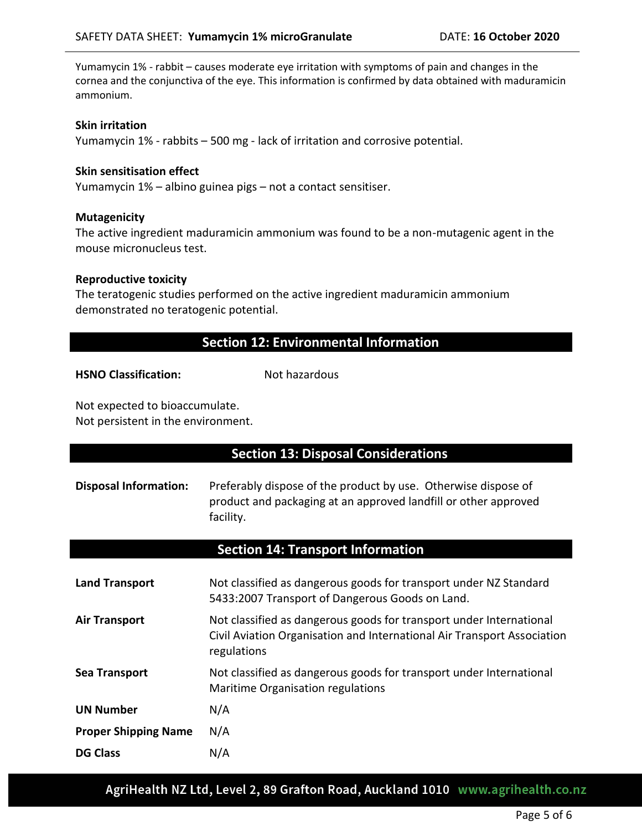Yumamycin 1% - rabbit – causes moderate eye irritation with symptoms of pain and changes in the cornea and the conjunctiva of the eye. This information is confirmed by data obtained with maduramicin ammonium.

### **Skin irritation**

Yumamycin 1% - rabbits – 500 mg - lack of irritation and corrosive potential.

## **Skin sensitisation effect**

Yumamycin 1% – albino guinea pigs – not a contact sensitiser.

### **Mutagenicity**

The active ingredient maduramicin ammonium was found to be a non-mutagenic agent in the mouse micronucleus test.

### **Reproductive toxicity**

The teratogenic studies performed on the active ingredient maduramicin ammonium demonstrated no teratogenic potential.

# **Section 12: Environmental Information**

**HSNO Classification:** Not hazardous

Not expected to bioaccumulate. Not persistent in the environment.

| <b>Section 13: Disposal Considerations</b> |                                                                                                                                                               |  |
|--------------------------------------------|---------------------------------------------------------------------------------------------------------------------------------------------------------------|--|
| <b>Disposal Information:</b>               | Preferably dispose of the product by use. Otherwise dispose of<br>product and packaging at an approved landfill or other approved<br>facility.                |  |
|                                            | <b>Section 14: Transport Information</b>                                                                                                                      |  |
| <b>Land Transport</b>                      | Not classified as dangerous goods for transport under NZ Standard<br>5433:2007 Transport of Dangerous Goods on Land.                                          |  |
| <b>Air Transport</b>                       | Not classified as dangerous goods for transport under International<br>Civil Aviation Organisation and International Air Transport Association<br>regulations |  |
| <b>Sea Transport</b>                       | Not classified as dangerous goods for transport under International<br>Maritime Organisation regulations                                                      |  |
| <b>UN Number</b>                           | N/A                                                                                                                                                           |  |
| <b>Proper Shipping Name</b>                | N/A                                                                                                                                                           |  |
| <b>DG Class</b>                            | N/A                                                                                                                                                           |  |

AgriHealth NZ Ltd, Level 2, 89 Grafton Road, Auckland 1010 www.agrihealth.co.nz